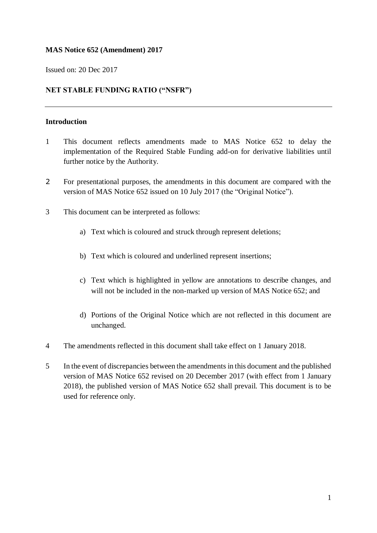### **MAS Notice 652 (Amendment) 2017**

Issued on: 20 Dec 2017

### **NET STABLE FUNDING RATIO ("NSFR")**

#### **Introduction**

- 1 This document reflects amendments made to MAS Notice 652 to delay the implementation of the Required Stable Funding add-on for derivative liabilities until further notice by the Authority.
- 2 For presentational purposes, the amendments in this document are compared with the version of MAS Notice 652 issued on 10 July 2017 (the "Original Notice").
- 3 This document can be interpreted as follows:
	- a) Text which is coloured and struck through represent deletions;
	- b) Text which is coloured and underlined represent insertions;
	- c) Text which is highlighted in yellow are annotations to describe changes, and will not be included in the non-marked up version of MAS Notice 652; and
	- d) Portions of the Original Notice which are not reflected in this document are unchanged.
- 4 The amendments reflected in this document shall take effect on 1 January 2018.
- 5 In the event of discrepancies between the amendments in this document and the published version of MAS Notice 652 revised on 20 December 2017 (with effect from 1 January 2018), the published version of MAS Notice 652 shall prevail. This document is to be used for reference only.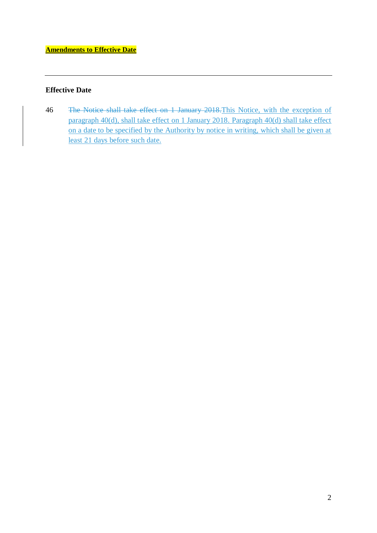## **Effective Date**

46 The Notice shall take effect on 1 January 2018.This Notice, with the exception of paragraph 40(d), shall take effect on 1 January 2018. Paragraph 40(d) shall take effect on a date to be specified by the Authority by notice in writing, which shall be given at least 21 days before such date.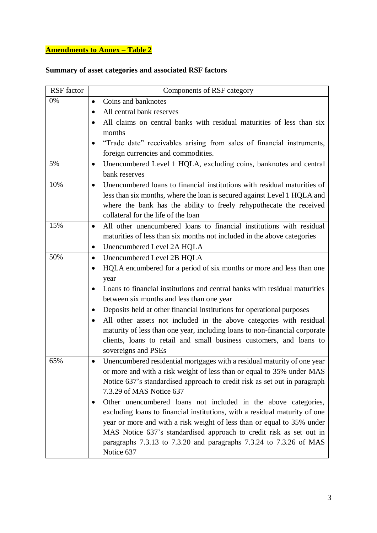# **Amendments to Annex – Table 2**

# **Summary of asset categories and associated RSF factors**

| RSF factor | Components of RSF category                                                            |
|------------|---------------------------------------------------------------------------------------|
| 0%         | Coins and banknotes<br>$\bullet$                                                      |
|            | All central bank reserves<br>$\bullet$                                                |
|            | All claims on central banks with residual maturities of less than six                 |
|            | months                                                                                |
|            | "Trade date" receivables arising from sales of financial instruments,                 |
|            | foreign currencies and commodities.                                                   |
| 5%         | Unencumbered Level 1 HQLA, excluding coins, banknotes and central<br>$\bullet$        |
|            | bank reserves                                                                         |
| 10%        | Unencumbered loans to financial institutions with residual maturities of<br>$\bullet$ |
|            | less than six months, where the loan is secured against Level 1 HQLA and              |
|            | where the bank has the ability to freely rehypothecate the received                   |
|            | collateral for the life of the loan                                                   |
| 15%        | All other unencumbered loans to financial institutions with residual<br>$\bullet$     |
|            | maturities of less than six months not included in the above categories               |
|            | Unencumbered Level 2A HQLA<br>$\bullet$                                               |
| 50%        | Unencumbered Level 2B HQLA<br>$\bullet$                                               |
|            | HQLA encumbered for a period of six months or more and less than one<br>$\bullet$     |
|            | year                                                                                  |
|            | Loans to financial institutions and central banks with residual maturities            |
|            | between six months and less than one year                                             |
|            | Deposits held at other financial institutions for operational purposes                |
|            | All other assets not included in the above categories with residual                   |
|            | maturity of less than one year, including loans to non-financial corporate            |
|            | clients, loans to retail and small business customers, and loans to                   |
|            | sovereigns and PSEs                                                                   |
| 65%        | Unencumbered residential mortgages with a residual maturity of one year<br>$\bullet$  |
|            | or more and with a risk weight of less than or equal to 35% under MAS                 |
|            | Notice 637's standardised approach to credit risk as set out in paragraph             |
|            | 7.3.29 of MAS Notice 637                                                              |
|            | Other unencumbered loans not included in the above categories,                        |
|            | excluding loans to financial institutions, with a residual maturity of one            |
|            | year or more and with a risk weight of less than or equal to 35% under                |
|            | MAS Notice 637's standardised approach to credit risk as set out in                   |
|            | paragraphs 7.3.13 to 7.3.20 and paragraphs 7.3.24 to 7.3.26 of MAS                    |
|            | Notice 637                                                                            |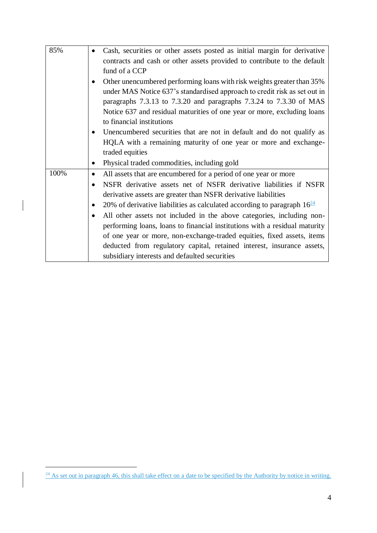| 85%  | Cash, securities or other assets posted as initial margin for derivative     |
|------|------------------------------------------------------------------------------|
|      | contracts and cash or other assets provided to contribute to the default     |
|      | fund of a CCP                                                                |
|      | Other unencumbered performing loans with risk weights greater than 35%       |
|      | under MAS Notice 637's standardised approach to credit risk as set out in    |
|      | paragraphs 7.3.13 to 7.3.20 and paragraphs 7.3.24 to 7.3.30 of MAS           |
|      | Notice 637 and residual maturities of one year or more, excluding loans      |
|      | to financial institutions                                                    |
|      | Unencumbered securities that are not in default and do not qualify as        |
|      | HQLA with a remaining maturity of one year or more and exchange-             |
|      | traded equities                                                              |
|      | Physical traded commodities, including gold                                  |
| 100% | All assets that are encumbered for a period of one year or more<br>$\bullet$ |
|      | NSFR derivative assets net of NSFR derivative liabilities if NSFR            |
|      | derivative assets are greater than NSFR derivative liabilities               |
|      | 20% of derivative liabilities as calculated according to paragraph $1624$    |
|      | All other assets not included in the above categories, including non-        |
|      | performing loans, loans to financial institutions with a residual maturity   |
|      | of one year or more, non-exchange-traded equities, fixed assets, items       |
|      | deducted from regulatory capital, retained interest, insurance assets,       |
|      |                                                                              |

<u>.</u>

 $24$  As set out in paragraph 46, this shall take effect on a date to be specified by the Authority by notice in writing.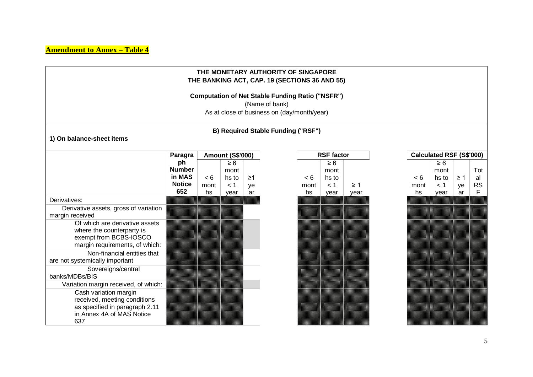|                                                                                                                                                                                                     |                                                       |                   |                                          |                | THE MONETARY AUTHORITY OF SINGAPORE<br>THE BANKING ACT, CAP. 19 (SECTIONS 36 AND 55)                   |                   |                                          |                  |                                 |                   |                                          |                      |                             |
|-----------------------------------------------------------------------------------------------------------------------------------------------------------------------------------------------------|-------------------------------------------------------|-------------------|------------------------------------------|----------------|--------------------------------------------------------------------------------------------------------|-------------------|------------------------------------------|------------------|---------------------------------|-------------------|------------------------------------------|----------------------|-----------------------------|
|                                                                                                                                                                                                     |                                                       |                   |                                          | (Name of bank) | <b>Computation of Net Stable Funding Ratio ("NSFR")</b><br>As at close of business on (day/month/year) |                   |                                          |                  |                                 |                   |                                          |                      |                             |
| B) Required Stable Funding ("RSF")<br>1) On balance-sheet items                                                                                                                                     |                                                       |                   |                                          |                |                                                                                                        |                   |                                          |                  |                                 |                   |                                          |                      |                             |
|                                                                                                                                                                                                     | <b>Amount (S\$'000)</b><br>Paragra                    |                   |                                          |                | <b>RSF factor</b>                                                                                      |                   |                                          |                  | <b>Calculated RSF (S\$'000)</b> |                   |                                          |                      |                             |
|                                                                                                                                                                                                     | ph<br><b>Number</b><br>in MAS<br><b>Notice</b><br>652 | < 6<br>mont<br>hs | $\geq 6$<br>mont<br>hs to<br>< 1<br>year | ≥1<br>ye<br>ar |                                                                                                        | < 6<br>mont<br>hs | $\geq 6$<br>mont<br>hs to<br>< 1<br>year | $\geq 1$<br>year |                                 | < 6<br>mont<br>hs | $\geq 6$<br>mont<br>hs to<br>< 1<br>year | $\geq$ 1<br>ye<br>ar | Tot<br>al<br><b>RS</b><br>F |
| Derivatives:<br>Derivative assets, gross of variation<br>margin received<br>Of which are derivative assets<br>where the counterparty is<br>exempt from BCBS-IOSCO<br>margin requirements, of which: |                                                       |                   |                                          |                |                                                                                                        |                   |                                          |                  |                                 |                   |                                          |                      |                             |
| Non-financial entities that<br>are not systemically important<br>Sovereigns/central<br>banks/MDBs/BIS<br>Variation margin received, of which:                                                       |                                                       |                   |                                          |                |                                                                                                        |                   |                                          |                  |                                 |                   |                                          |                      |                             |
| Cash variation margin<br>received, meeting conditions<br>as specified in paragraph 2.11<br>in Annex 4A of MAS Notice<br>637                                                                         |                                                       |                   |                                          |                |                                                                                                        |                   |                                          |                  |                                 |                   |                                          |                      |                             |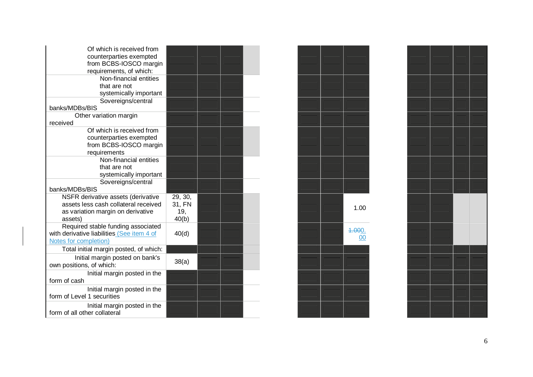| Of which is received from<br>counterparties exempted<br>from BCBS-IOSCO margin<br>requirements, of which:<br>Non-financial entities<br>that are not<br>systemically important |                                   |              |  |
|-------------------------------------------------------------------------------------------------------------------------------------------------------------------------------|-----------------------------------|--------------|--|
| Sovereigns/central<br>banks/MDBs/BIS                                                                                                                                          |                                   |              |  |
| Other variation margin<br>received                                                                                                                                            |                                   |              |  |
| Of which is received from<br>counterparties exempted<br>from BCBS-IOSCO margin<br>requirements                                                                                |                                   |              |  |
| Non-financial entities<br>that are not<br>systemically important                                                                                                              |                                   |              |  |
| Sovereigns/central<br>banks/MDBs/BIS                                                                                                                                          |                                   |              |  |
| NSFR derivative assets (derivative<br>assets less cash collateral received<br>as variation margin on derivative<br>assets)                                                    | 29, 30,<br>31, FN<br>19,<br>40(b) | 1.00         |  |
| Required stable funding associated<br>with derivative liabilities (See item 4 of<br>Notes for completion)                                                                     | 40(d)                             | 4.000.<br>00 |  |
| Total initial margin posted, of which:                                                                                                                                        |                                   |              |  |
| Initial margin posted on bank's<br>own positions, of which:                                                                                                                   | 38(a)                             |              |  |
| Initial margin posted in the<br>form of cash                                                                                                                                  |                                   |              |  |
| Initial margin posted in the<br>form of Level 1 securities                                                                                                                    |                                   |              |  |
| Initial margin posted in the<br>form of all other collateral                                                                                                                  |                                   |              |  |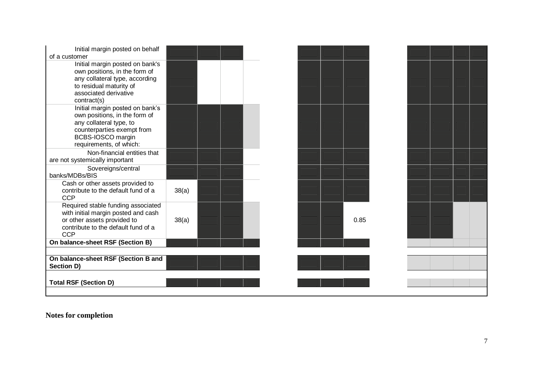| Initial margin posted on behalf<br>of a customer                                                                                                                          |       |  |      |  |  |
|---------------------------------------------------------------------------------------------------------------------------------------------------------------------------|-------|--|------|--|--|
| Initial margin posted on bank's<br>own positions, in the form of<br>any collateral type, according<br>to residual maturity of<br>associated derivative<br>contract(s)     |       |  |      |  |  |
| Initial margin posted on bank's<br>own positions, in the form of<br>any collateral type, to<br>counterparties exempt from<br>BCBS-IOSCO margin<br>requirements, of which: | ▓     |  |      |  |  |
| Non-financial entities that<br>are not systemically important<br>Sovereigns/central<br>banks/MDBs/BIS                                                                     |       |  |      |  |  |
| Cash or other assets provided to<br>contribute to the default fund of a<br><b>CCP</b>                                                                                     | 38(a) |  |      |  |  |
| Required stable funding associated<br>with initial margin posted and cash<br>or other assets provided to<br>contribute to the default fund of a<br><b>CCP</b>             | 38(a) |  | 0.85 |  |  |
| On balance-sheet RSF (Section B)                                                                                                                                          |       |  |      |  |  |
| On balance-sheet RSF (Section B and<br>Section D)                                                                                                                         |       |  |      |  |  |
| <b>Total RSF (Section D)</b>                                                                                                                                              |       |  |      |  |  |

**Notes for completion**